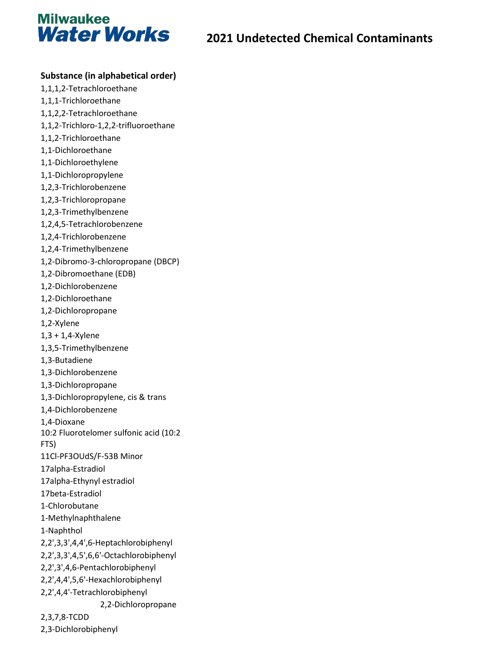

#### **Substance (in alphabetical order)**

- 1,1,1,2-Tetrachloroethane 1,1,1-Trichloroethane 1,1,2,2-Tetrachloroethane 1,1,2-Trichloro-1,2,2-trifluoroethane 1,1,2-Trichloroethane 1,1-Dichloroethane 1,1-Dichloroethylene 1,1-Dichloropropylene 1,2,3-Trichlorobenzene 1,2,3-Trichloropropane 1,2,3-Trimethylbenzene 1,2,4,5-Tetrachlorobenzene 1,2,4-Trichlorobenzene 1,2,4-Trimethylbenzene 1,2-Dibromo-3-chloropropane (DBCP) 1,2-Dibromoethane (EDB) 1,2-Dichlorobenzene 1,2-Dichloroethane 1,2-Dichloropropane 1,2-Xylene 1,3 + 1,4-Xylene 1,3,5-Trimethylbenzene 1,3-Butadiene 1,3-Dichlorobenzene 1,3-Dichloropropane 1,3-Dichloropropylene, cis & trans 1,4-Dichlorobenzene 1,4-Dioxane 10:2 Fluorotelomer sulfonic acid (10:2 FTS) 11Cl-PF3OUdS/F-53B Minor 17alpha-Estradiol 17alpha-Ethynyl estradiol 17beta-Estradiol 1-Chlorobutane 1-Methylnaphthalene 1-Naphthol 2,2',3,3',4,4',6-Heptachlorobiphenyl 2,2',3,3',4,5',6,6'-Octachlorobiphenyl 2,2',3',4,6-Pentachlorobiphenyl 2,2',4,4',5,6'-Hexachlorobiphenyl 2,2',4,4'-Tetrachlorobiphenyl 2,2-Dichloropropane 2,3,7,8-TCDD
- 2,3-Dichlorobiphenyl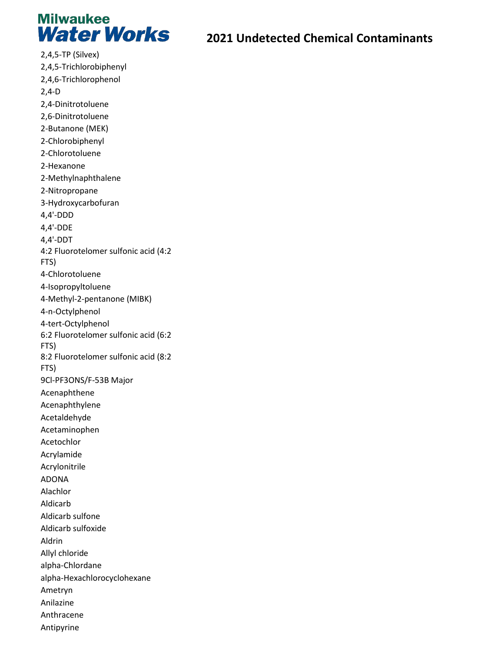

2,4,5-TP (Silvex) 2,4,5-Trichlorobiphenyl 2,4,6-Trichlorophenol 2,4-D 2,4-Dinitrotoluene 2,6-Dinitrotoluene 2-Butanone (MEK) 2-Chlorobiphenyl 2-Chlorotoluene 2-Hexanone 2-Methylnaphthalene 2-Nitropropane 3-Hydroxycarbofuran 4,4'-DDD 4,4'-DDE 4,4'-DDT 4:2 Fluorotelomer sulfonic acid (4:2 FTS) 4-Chlorotoluene 4-Isopropyltoluene 4-Methyl-2-pentanone (MIBK) 4-n-Octylphenol 4-tert-Octylphenol 6:2 Fluorotelomer sulfonic acid (6:2 FTS) 8:2 Fluorotelomer sulfonic acid (8:2 FTS) 9Cl-PF3ONS/F-53B Major Acenaphthene Acenaphthylene Acetaldehyde Acetaminophen Acetochlor Acrylamide Acrylonitrile ADONA Alachlor Aldicarb Aldicarb sulfone Aldicarb sulfoxide Aldrin Allyl chloride alpha-Chlordane alpha-Hexachlorocyclohexane Ametryn Anilazine Anthracene Antipyrine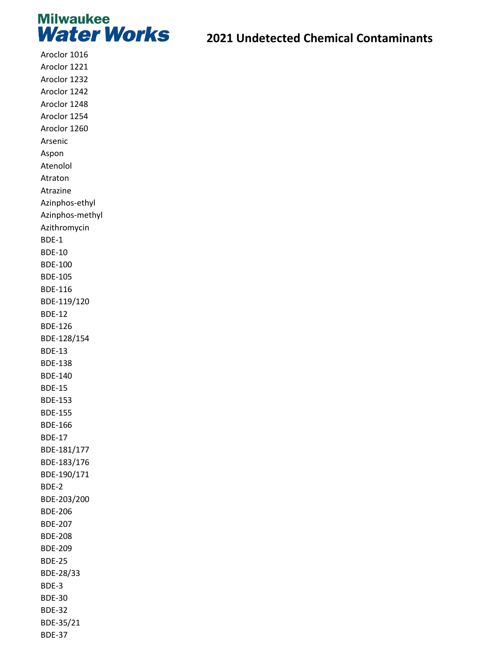

Aroclor 1016 Aroclor 1221 Aroclor 1232 Aroclor 1242 Aroclor 1248 Aroclor 1254 Aroclor 1260 Arsenic Aspon Atenolol Atraton Atrazine Azinphos-ethyl Azinphos-methyl Azithromycin BDE-1 BDE-10 BDE-100 BDE-105 BDE-116 BDE-119/120 BDE-12 BDE-126 BDE-128/154 BDE-13 BDE-138 BDE-140 BDE-15 BDE-153 BDE-155 BDE-166 BDE-17 BDE-181/177 BDE-183/176 BDE-190/171 BDE-2 BDE-203/200 BDE-206 BDE-207 BDE-208 BDE-209 BDE-25 BDE-28/33 BDE-3 BDE-30 BDE-32 BDE-35/21

BDE-37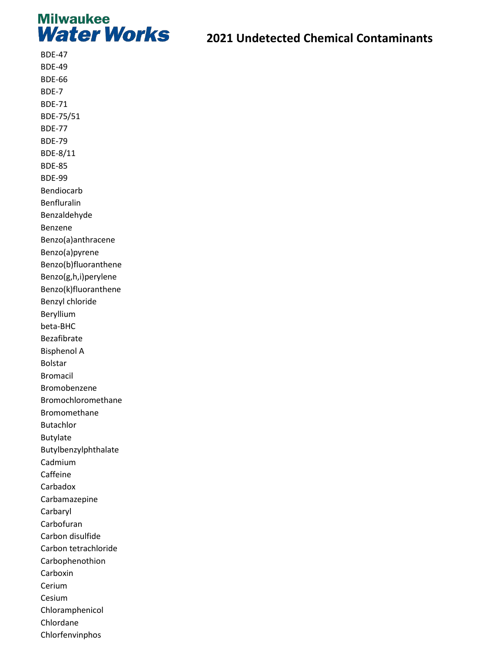

BDE-47 BDE-49 BDE-66 BDE-7 BDE-71 BDE-75/51 BDE-77 BDE-79 BDE-8/11 BDE-85 BDE-99 Bendiocarb Benfluralin Benzaldehyde Benzene Benzo(a)anthracene Benzo(a)pyrene Benzo(b)fluoranthene Benzo(g,h,i)perylene Benzo(k)fluoranthene Benzyl chloride Beryllium beta-BHC Bezafibrate Bisphenol A Bolstar Bromacil Bromobenzene Bromochloromethane Bromomethane Butachlor Butylate Butylbenzylphthalate Cadmium Caffeine Carbadox Carbamazepine Carbaryl Carbofuran Carbon disulfide Carbon tetrachloride Carbophenothion Carboxin Cerium Cesium Chloramphenicol Chlordane

Chlorfenvinphos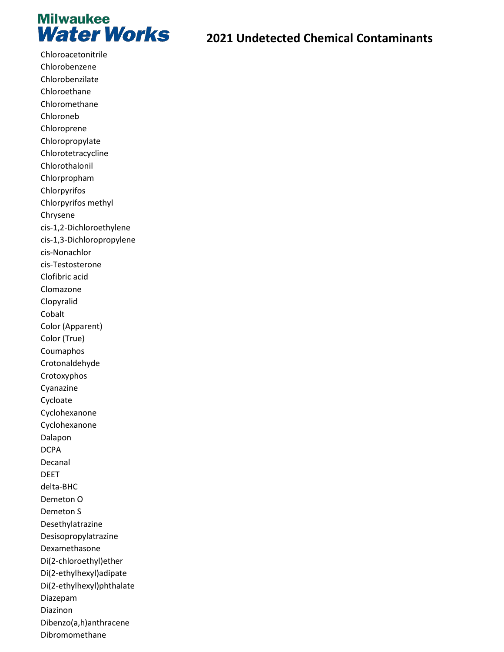

Chloroacetonitrile Chlorobenzene Chlorobenzilate Chloroethane Chloromethane Chloroneb Chloroprene Chloropropylate Chlorotetracycline Chlorothalonil Chlorpropham Chlorpyrifos Chlorpyrifos methyl Chrysene cis-1,2-Dichloroethylene cis-1,3-Dichloropropylene cis-Nonachlor cis-Testosterone Clofibric acid Clomazone Clopyralid Cobalt Color (Apparent) Color (True) Coumaphos Crotonaldehyde Crotoxyphos Cyanazine Cycloate Cyclohexanone Cyclohexanone Dalapon DCPA Decanal DEET delta-BHC Demeton O Demeton S Desethylatrazine Desisopropylatrazine Dexamethasone Di(2-chloroethyl)ether Di(2-ethylhexyl)adipate Di(2-ethylhexyl)phthalate Diazepam Diazinon Dibenzo(a,h)anthracene Dibromomethane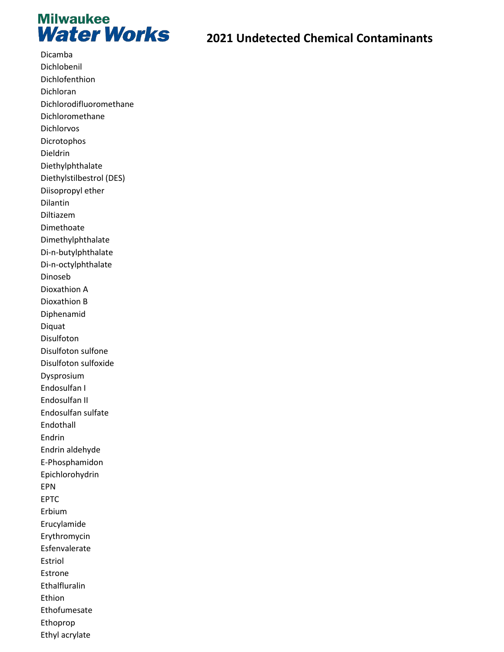

Dicamba Dichlobenil Dichlofenthion Dichloran Dichlorodifluoromethane Dichloromethane **Dichlorvos** Dicrotophos Dieldrin Diethylphthalate Diethylstilbestrol (DES) Diisopropyl ether Dilantin Diltiazem Dimethoate Dimethylphthalate Di-n-butylphthalate Di-n-octylphthalate Dinoseb Dioxathion A Dioxathion B Diphenamid Diquat Disulfoton Disulfoton sulfone Disulfoton sulfoxide Dysprosium Endosulfan I Endosulfan II Endosulfan sulfate Endothall Endrin Endrin aldehyde E-Phosphamidon Epichlorohydrin **EPN EPTC** Erbium Erucylamide Erythromycin Esfenvalerate Estriol Estrone Ethalfluralin Ethion Ethofumesate Ethoprop Ethyl acrylate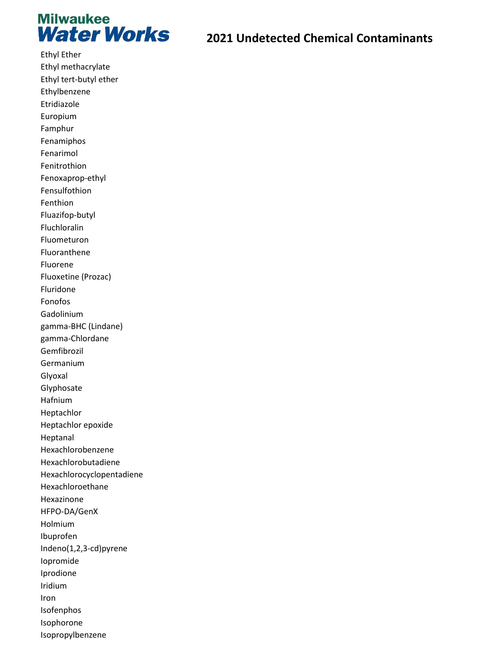

**Ethyl Ether** Ethyl methacrylate Ethyl tert-butyl ether Ethylbenzene Etridiazole Europium Famphur Fenamiphos Fenarimol Fenitrothion Fenoxaprop-ethyl Fensulfothion Fenthion Fluazifop-butyl Fluchloralin Fluometuron Fluoranthene Fluorene Fluoxetine (Prozac) Fluridone Fonofos Gadolinium gamma-BHC (Lindane) gamma-Chlordane Gemfibrozil Germanium Glyoxal Glyphosate Hafnium Heptachlor Heptachlor epoxide Heptanal Hexachlorobenzene Hexachlorobutadiene Hexachlorocyclopentadiene Hexachloroethane Hexazinone HFPO-DA/GenX Holmium Ibuprofen Indeno(1,2,3-cd)pyrene lopromide Iprodione Iridium Iron Isofenphos Isophorone Isopropylbenzene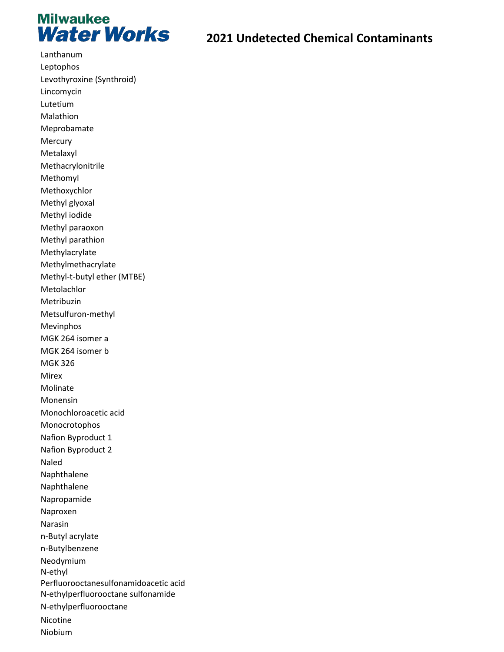

Lanthanum Leptophos Levothyroxine (Synthroid) Lincomycin Lutetium Malathion Meprobamate Mercury Metalaxyl Methacrylonitrile Methomyl Methoxychlor Methyl glyoxal Methyl iodide Methyl paraoxon Methyl parathion Methylacrylate Methylmethacrylate Methyl-t-butyl ether (MTBE) Metolachlor Metribuzin Metsulfuron-methyl Mevinphos MGK 264 isomer a MGK 264 isomer b MGK 326 Mirex Molinate Monensin Monochloroacetic acid Monocrotophos Nafion Byproduct 1 Nafion Byproduct 2 Naled Naphthalene Naphthalene Napropamide Naproxen Narasin n-Butyl acrylate n-Butylbenzene Neodymium N-ethyl Perfluorooctanesulfonamidoacetic acid N-ethylperfluorooctane sulfonamide N-ethylperfluorooctane Nicotine Niobium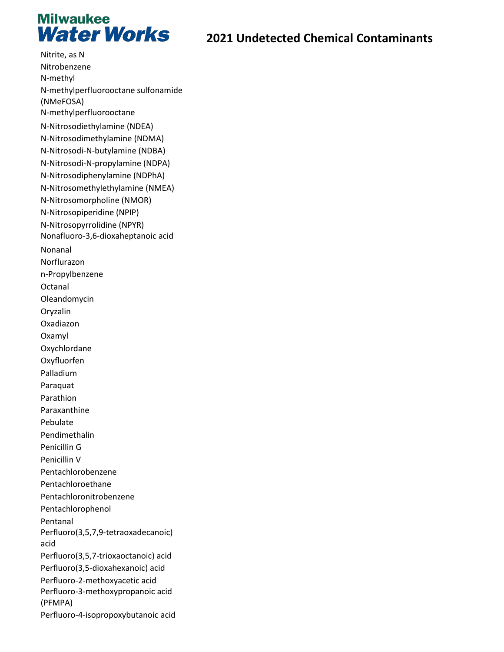

Nitrite, as N Nitrobenzene N-methyl N-methylperfluorooctane sulfonamide (NMeFOSA) N-methylperfluorooctane N-Nitrosodiethylamine (NDEA) N-Nitrosodimethylamine (NDMA) N-Nitrosodi-N-butylamine (NDBA) N-Nitrosodi-N-propylamine (NDPA) N-Nitrosodiphenylamine (NDPhA) N-Nitrosomethylethylamine (NMEA) N-Nitrosomorpholine (NMOR) N-Nitrosopiperidine (NPIP) N-Nitrosopyrrolidine (NPYR) Nonafluoro-3,6-dioxaheptanoic acid Nonanal Norflurazon n-Propylbenzene Octanal Oleandomycin Oryzalin Oxadiazon Oxamyl Oxychlordane Oxyfluorfen Palladium Paraquat Parathion Paraxanthine Pebulate Pendimethalin Penicillin G Penicillin V Pentachlorobenzene Pentachloroethane Pentachloronitrobenzene Pentachlorophenol Pentanal Perfluoro(3,5,7,9-tetraoxadecanoic) acid Perfluoro(3,5,7-trioxaoctanoic) acid Perfluoro(3,5-dioxahexanoic) acid Perfluoro-2-methoxyacetic acid Perfluoro-3-methoxypropanoic acid (PFMPA) Perfluoro-4-isopropoxybutanoic acid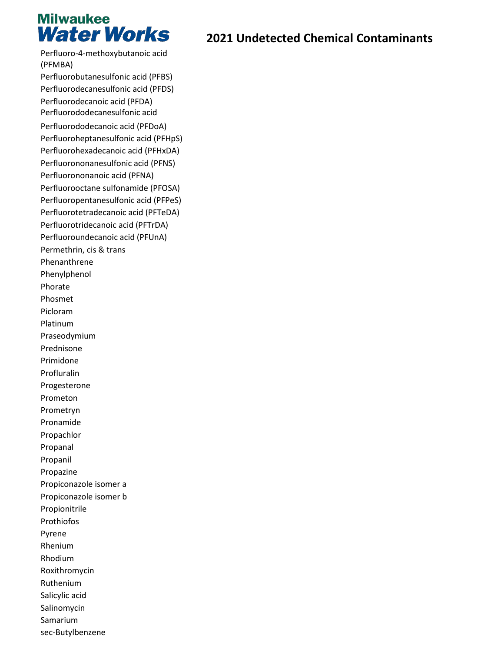# **Milwaukee Water Works**

Perfluoro-4-methoxybutanoic acid (PFMBA) Perfluorobutanesulfonic acid (PFBS) Perfluorodecanesulfonic acid (PFDS) Perfluorodecanoic acid (PFDA) Perfluorododecanesulfonic acid Perfluorododecanoic acid (PFDoA) Perfluoroheptanesulfonic acid (PFHpS) Perfluorohexadecanoic acid (PFHxDA) Perfluorononanesulfonic acid (PFNS) Perfluorononanoic acid (PFNA) Perfluorooctane sulfonamide (PFOSA) Perfluoropentanesulfonic acid (PFPeS) Perfluorotetradecanoic acid (PFTeDA) Perfluorotridecanoic acid (PFTrDA) Perfluoroundecanoic acid (PFUnA) Permethrin, cis & trans Phenanthrene Phenylphenol Phorate Phosmet Picloram Platinum Praseodymium Prednisone Primidone Profluralin Progesterone Prometon Prometryn Pronamide Propachlor Propanal Propanil Propazine Propiconazole isomer a Propiconazole isomer b Propionitrile Prothiofos Pyrene Rhenium Rhodium Roxithromycin Ruthenium Salicylic acid Salinomycin Samarium sec-Butylbenzene

## **2021 Undetected Chemical Contaminants**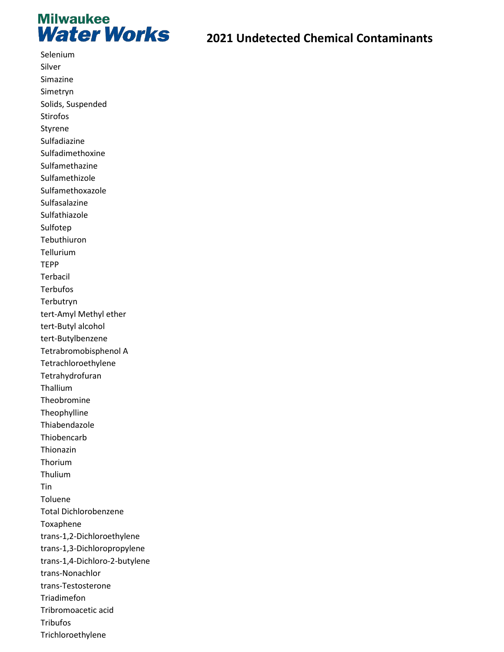

Selenium

#### **2021 Undetected Chemical Contaminants**

Silver Simazine Simetryn Solids, Suspended Stirofos Styrene Sulfadiazine Sulfadimethoxine Sulfamethazine Sulfamethizole Sulfamethoxazole Sulfasalazine Sulfathiazole Sulfotep Tebuthiuron Tellurium TEPP Terbacil **Terbufos** Terbutryn tert-Amyl Methyl ether tert-Butyl alcohol tert-Butylbenzene Tetrabromobisphenol A Tetrachloroethylene Tetrahydrofuran Thallium Theobromine Theophylline Thiabendazole Thiobencarb Thionazin Thorium Thulium Tin Toluene Total Dichlorobenzene Toxaphene trans-1,2-Dichloroethylene trans-1,3-Dichloropropylene trans-1,4-Dichloro-2-butylene trans-Nonachlor trans-Testosterone Triadimefon Tribromoacetic acid Tribufos Trichloroethylene